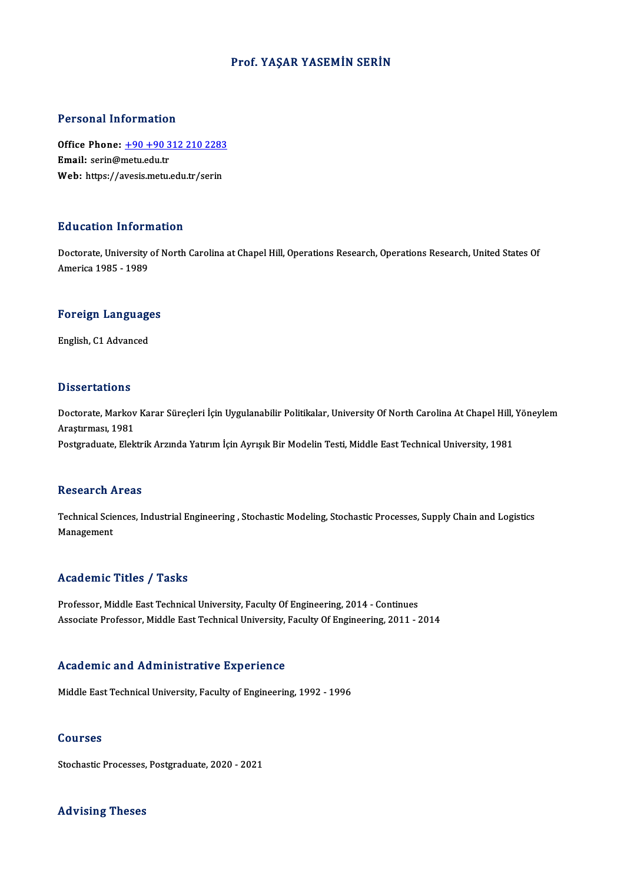## Prof. YAŞAR YASEMİN SERİN

## Personal Information

Personal Information<br>Office Phone: <u>+90 +90 312 210 2283</u><br>Email: serin@metu.edu.tr office Phone:  $\frac{+90+903}{+90+903}$ <br>Email: serin@metu.edu.tr Office Phone: <u>+90 +90 312 210 2283</u><br>Email: serin@metu.edu.tr<br>Web: https://a[vesis.metu.edu.tr/serin](tel:+90 +90 312 210 2283) Web: https://avesis.metu.edu.tr/serin<br>Education Information

Education Information<br>Doctorate, University of North Carolina at Chapel Hill, Operations Research, Operations Research, United States Of<br>America 1995 - 1999 Audition Intoine<br>Doctorate, University<br>America 1985 - 1989

## <sub>America 1985 - 1989</sub><br>Foreign Languages <mark>Foreign Languag</mark>e<br>English, C1 Advanced

English, C1 Advanced<br>Dissertations

Dissertations<br>Doctorate, Markov Karar Süreçleri İçin Uygulanabilir Politikalar, University Of North Carolina At Chapel Hill, Yöneylem<br>Arastırması, 1991 2 19991 tacrons<br>Doctorate, Markov<br>Araştırması, 1981<br>Postaraduste, Flek Doctorate, Markov Karar Süreçleri İçin Uygulanabilir Politikalar, University Of North Carolina At Chapel Hill,<br>Araştırması, 1981<br>Postgraduate, Elektrik Arzında Yatırım İçin Ayrışık Bir Modelin Testi, Middle East Technical Postgraduate, Elektrik Arzında Yatırım İçin Ayrışık Bir Modelin Testi, Middle East Technical University, 1981<br>Research Areas

Research Areas<br>Technical Sciences, Industrial Engineering , Stochastic Modeling, Stochastic Processes, Supply Chain and Logistics<br>Managament Resear en 1<br>Technical Scie<br>Management Management<br>Academic Titles / Tasks

Professor, Middle East Technical University, Faculty Of Engineering, 2014 - Continues Associate Professor, Middle East Technical University, Faculty Of Engineering, 2011 - 2014

## Academic and Administrative Experience

Middle East Technical University, Faculty of Engineering, 1992 - 1996

### Courses

Stochastic Processes, Postgraduate, 2020 - 2021

### Advising Theses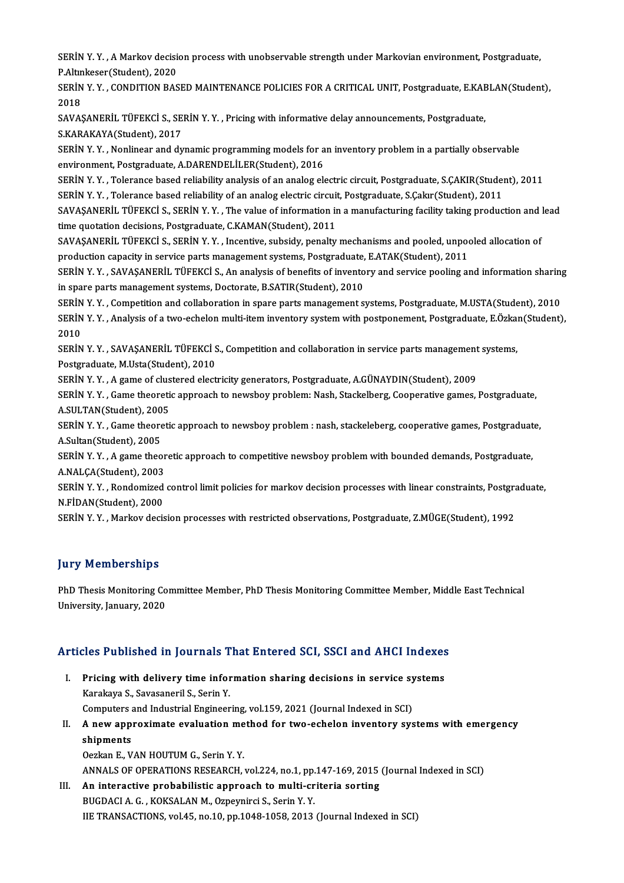SERİN Y. Y. , A Markov decision process with unobservable strength under Markovian environment, Postgraduate,<br>R Altinkosor(Student), 2020 SERİN Y. Y. , A Markov decisi<br>P.Altınkeser(Student), 2020<br>SERİN Y. Y., CONDITION BAS SERİN Y. Y. , A Markov decision process with unobservable strength under Markovian environment, Postgraduate,<br>P.Altınkeser(Student), 2020<br>SERİN Y. Y. , CONDITION BASED MAINTENANCE POLICIES FOR A CRITICAL UNIT, Postgraduate

P.Altın<br>SERİN<br>2018<br>SAVAS SERİN Y. Y. , CONDITION BASED MAINTENANCE POLICIES FOR A CRITICAL UNIT, Postgraduate, E.KAE<br>2018<br>SAVAŞANERİL TÜFEKCİ S., SERİN Y. Y. , Pricing with informative delay announcements, Postgraduate,<br>S.KARAKAVA(Studont), 2017

2018<br>SAVAŞANERİL TÜFEKCİ S., SERİN Y. Y. , Pricing with informative delay announcements, Postgraduate,<br>S.KARAKAYA(Student), 2017 SAVAŞANERİL TÜFEKCİ S., SERİN Y. Y. , Pricing with informative delay announcements, Postgraduate,<br>S.KARAKAYA(Student), 2017<br>SERİN Y. Y. , Nonlinear and dynamic programming models for an inventory problem in a partially obs

S.KARAKAYA(Student), 2017<br>SERİN Y. Y. , Nonlinear and dynamic programming models for a<br>environment, Postgraduate, A.DARENDELİLER(Student), 2016<br>SERİN Y. Y., Telerange başad reliability analysis of an analog ak SERİN Y. Y. , Nonlinear and dynamic programming models for an inventory problem in a partially observable<br>environment, Postgraduate, A.DARENDELİLER(Student), 2016<br>SERİN Y. Y. , Tolerance based reliability of an analog elec

environment, Postgraduate, A.DARENDELİLER(Student), 2016<br>SERİN Y. Y. , Tolerance based reliability analysis of an analog electric circuit, Postgraduate, S.ÇAKIR(Studen<br>SERİN Y. Y. , Tolerance based reliability of an analog

SERİN Y. Y. , Tolerance based reliability analysis of an analog electric circuit, Postgraduate, S.ÇAKIR(Student), 2011<br>SERİN Y. Y. , Tolerance based reliability of an analog electric circuit, Postgraduate, S.Çakır(Student) SERİN Y. Y. , Tolerance based reliability of an analog electric circuit<br>SAVAŞANERİL TÜFEKCİ S., SERİN Y. Y. , The value of information in<br>time quotation decisions, Postgraduate, C.KAMAN(Student), 2011<br>SAVASANERİL TÜEEKCİ S

SAVAŞANERİL TÜFEKCİ S., SERİN Y.Y., Incentive, subsidy, penalty mechanisms and pooled, unpooled allocation of time quotation decisions, Postgraduate, C.KAMAN(Student), 2011<br>SAVAŞANERİL TÜFEKCİ S., SERİN Y. Y. , Incentive, subsidy, penalty mechanisms and pooled, unpoor<br>production capacity in service parts management systems, Postgr SAVAŞANERİL TÜFEKCİ S., SERİN Y. Y. , Incentive, subsidy, penalty mechanisms and pooled, unpooled allocation of<br>production capacity in service parts management systems, Postgraduate, E.ATAK(Student), 2011<br>SERİN Y. Y. , SAV

production capacity in service parts management systems, Postgraduate,<br>SERİN Y. Y. , SAVAŞANERİL TÜFEKCİ S., An analysis of benefits of invento<br>in spare parts management systems, Doctorate, B.SATIR(Student), 2010<br>SERİN Y. SERİN Y. Y. , SAVAŞANERİL TÜFEKCİ S., An analysis of benefits of inventory and service pooling and information sharing<br>in spare parts management systems, Doctorate, B.SATIR(Student), 2010<br>SERİN Y. Y. , Competition and coll

in spare parts management systems, Doctorate, B.SATIR(Student), 2010<br>SERİN Y. Y. , Competition and collaboration in spare parts management systems, Postgraduate, M.USTA(Student), 2010<br>SERİN Y. Y. , Analysis of a two-echelo SERIN<br>SERIN<br>2010<br>SERIN SERİN Y. Y. , Analysis of a two-echelon multi-item inventory system with postponement, Postgraduate, E.Özka:<br>2010<br>SERİN Y. Y. , SAVAŞANERİL TÜFEKCİ S., Competition and collaboration in service parts management systems,<br>Pos

2010<br>SERİN Y. Y. , SAVAŞANERİL TÜFEKCİ S<br>Postgraduate, M.Usta(Student), 2010<br>SERİN Y. Y. , A sama of slustarad alast SERİN Y. Y. , SAVAŞANERİL TÜFEKCİ S., Competition and collaboration in service parts management<br>Postgraduate, M.Usta(Student), 2010<br>SERİN Y. Y. , A game of clustered electricity generators, Postgraduate, A.GÜNAYDIN(Student

Postgraduate, M.Usta(Student), 2010<br>SERİN Y. Y. , A game of clustered electricity generators, Postgraduate, A.GÜNAYDIN(Student), 2009<br>SERİN Y. Y. , Game theoretic approach to newsboy problem: Nash, Stackelberg, Cooperative SERİN Y. Y. , A game of clus<br>SERİN Y. Y. , Game theoreti<br>A.SULTAN(Student), 2005<br>SERİN Y. Y. Came theoreti SERİN Y. Y. , Game theoretic approach to newsboy problem: Nash, Stackelberg, Cooperative games, Postgraduate,<br>A.SULTAN(Student), 2005<br>SERİN Y. Y. , Game theoretic approach to newsboy problem : nash, stackeleberg, cooperati

A.SULTAN(Student), 200<br>SERİN Y. Y. , Game theore<br>A.Sultan(Student), 2005<br>SERİN Y. Y. , A. game theo SERİN Y. Y. , Game theoretic approach to newsboy problem : nash, stackeleberg, cooperative games, Postgraduat<br>A.Sultan(Student), 2005<br>SERİN Y. Y. , A game theoretic approach to competitive newsboy problem with bounded dema

A.Sultan(Student), 2005<br>SERİN Y. Y. , A game theoretic approach to competitive newsboy problem with bounded demands, Postgraduate,<br>A.NALÇA(Student), 2003 SERİN Y. Y. , A game theoretic approach to competitive newsboy problem with bounded demands, Postgraduate,<br>A.NALÇA(Student), 2003<br>SERİN Y. Y. , Rondomized control limit policies for markov decision processes with linear co

A.NALÇA(Student), 2003<br>SERİN Y. Y. , Rondomized<br>N.FİDAN(Student), 2000<br>SERİN Y. Y. Markov dağı SERİN Y. Y. , Rondomized control limit policies for markov decision processes with linear constraints, Postgra<br>N.FİDAN(Student), 2000<br>SERİN Y. Y. , Markov decision processes with restricted observations, Postgraduate, Z.MÜ

SERİN Y. Y. , Markov decision processes with restricted observations, Postgraduate, Z.MÜGE(Student), 1992<br>Jury Memberships

Jury Memberships<br>PhD Thesis Monitoring Committee Member, PhD Thesis Monitoring Committee Member, Middle East Technical<br>University January 2020 end of the Strategies<br>PhD Thesis Monitoring Co<br>University, January, 2020

# oniversity, january, 2020<br>Articles Published in Journals That Entered SCI, SSCI and AHCI Indexes

- rticles Published in Journals That Entered SCI, SSCI and AHCI Indexes<br>I. Pricing with delivery time information sharing decisions in service systems<br>Karakaya S. Sayssanoril S. Sorin V. Xes I dishered in Journals I.<br>Pricing with delivery time infor<br>Karakaya S., Savasaneril S., Serin Y.<br>Computers and Industrial Engineer Pricing with delivery time information sharing decisions in service sy<br>Karakaya S., Savasaneril S., Serin Y.<br>Computers and Industrial Engineering, vol.159, 2021 (Journal Indexed in SCI)<br>A new annoximate evoluation mathod f Karakaya S., Savasaneril S., Serin Y.<br>Computers and Industrial Engineering, vol.159, 2021 (Journal Indexed in SCI)<br>II. A new approximate evaluation method for two-echelon inventory systems with emergency
- shipments shipments<br>Oezkan E., VAN HOUTUM G., Serin Y. Y.<br>ANNALS OF OPERATIONS RESEARCH, vol.224, no.1, pp.147-169, 2015 (Journal Indexed in SCI)<br>An intenactive anghebilistic annuoseb to multi-eniteria serting

Oezkan E., VAN HOUTUM G., Serin Y. Y.

III. An interactive probabilistic approach to multi-criteria sorting BUGDACI A. G., KOKSALAN M., Ozpeynirci S., Serin Y. Y. ANNALS OF OPERATIONS RESEARCH, vol.224, no.1, pp.<br>An interactive probabilistic approach to multi-cr<br>BUGDACI A. G. , KOKSALAN M., Ozpeynirci S., Serin Y. Y.<br>UE TRANSACTIONS Vol.45, no.10, np.1049, 1059, 2013. IIE TRANSACTIONS, vol.45, no.10, pp.1048-1058, 2013 (Journal Indexed in SCI)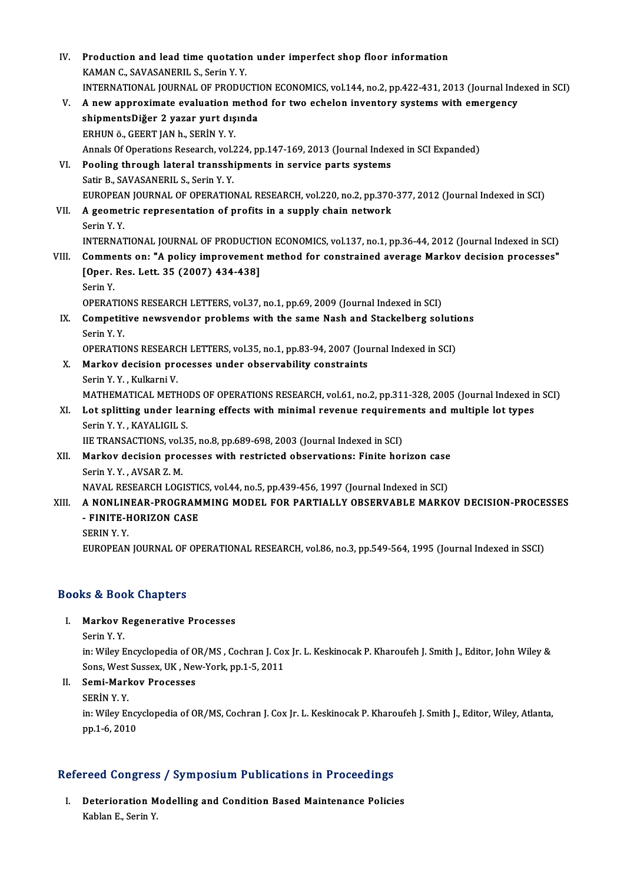| IV.   | Production and lead time quotation under imperfect shop floor information                                                       |
|-------|---------------------------------------------------------------------------------------------------------------------------------|
|       | KAMAN C., SAVASANERIL S., Serin Y. Y.                                                                                           |
|       | INTERNATIONAL JOURNAL OF PRODUCTION ECONOMICS, vol.144, no.2, pp.422-431, 2013 (Journal Indexed in SCI)                         |
| V.    | A new approximate evaluation method for two echelon inventory systems with emergency                                            |
|       | shipmentsDiğer 2 yazar yurt dışında                                                                                             |
|       | ERHUN ö., GEERT JAN h., SERİN Y.Y.                                                                                              |
|       | Annals Of Operations Research, vol.224, pp.147-169, 2013 (Journal Indexed in SCI Expanded)                                      |
| VI.   | Pooling through lateral transshipments in service parts systems                                                                 |
|       | Satir B., SAVASANERIL S., Serin Y. Y.                                                                                           |
|       | EUROPEAN JOURNAL OF OPERATIONAL RESEARCH, vol.220, no.2, pp.370-377, 2012 (Journal Indexed in SCI)                              |
| VII.  | A geometric representation of profits in a supply chain network                                                                 |
|       | Serin Y Y                                                                                                                       |
|       | INTERNATIONAL JOURNAL OF PRODUCTION ECONOMICS, vol.137, no.1, pp.36-44, 2012 (Journal Indexed in SCI)                           |
| VIII. | Comments on: "A policy improvement method for constrained average Markov decision processes"                                    |
|       | [Oper. Res. Lett. 35 (2007) 434-438]                                                                                            |
|       | Serin Y                                                                                                                         |
|       | OPERATIONS RESEARCH LETTERS, vol.37, no.1, pp.69, 2009 (Journal Indexed in SCI)                                                 |
| IX.   | Competitive newsvendor problems with the same Nash and Stackelberg solutions                                                    |
|       | Serin Y Y                                                                                                                       |
|       | OPERATIONS RESEARCH LETTERS, vol.35, no.1, pp.83-94, 2007 (Journal Indexed in SCI)                                              |
| Х.    | Markov decision processes under observability constraints                                                                       |
|       | Serin Y.Y., Kulkarni V.<br>MATHEMATICAL METHODS OF OPERATIONS RESEARCH, vol.61, no.2, pp.311-328, 2005 (Journal Indexed in SCI) |
| XI.   | Lot splitting under learning effects with minimal revenue requirements and multiple lot types                                   |
|       | Serin Y Y , KAYALIGIL S                                                                                                         |
|       | IIE TRANSACTIONS, vol.35, no.8, pp.689-698, 2003 (Journal Indexed in SCI)                                                       |
| XII.  | Markov decision processes with restricted observations: Finite horizon case                                                     |
|       | Serin Y Y , AVSAR Z M                                                                                                           |
|       | NAVAL RESEARCH LOGISTICS, vol.44, no.5, pp.439-456, 1997 (Journal Indexed in SCI)                                               |
| XIII. | A NONLINEAR-PROGRAMMING MODEL FOR PARTIALLY OBSERVABLE MARKOV DECISION-PROCESSES                                                |
|       | - FINITE-HORIZON CASE                                                                                                           |
|       | SERIN Y.Y.                                                                                                                      |
|       | EUROPEAN JOURNAL OF OPERATIONAL RESEARCH, vol.86, no.3, pp.549-564, 1995 (Journal Indexed in SSCI)                              |

## Books&Book Chapters

## ooks & Book Chapters<br>I. Markov Regenerative Processes<br>Serin V V Markov F<br>Markov F<br>Serin Y. Y.<br>in: Wilov F

Markov Regenerative Processes<br>Serin Y. Y.<br>in: Wiley Encyclopedia of OR/MS , Cochran J. Cox Jr. L. Keskinocak P. Kharoufeh J. Smith J., Editor, John Wiley &<br>Sons West Sussex, UK. New York, pp.1, 5, 2011 Serin Y. Y.<br>in: Wiley Encyclopedia of OR/MS , Cochran J. Co.<br>Sons, West Sussex, UK , New-York, pp.1-5, 2011<br>Somi Markov, Processes Sons, West Sussex, UK, New-York, pp.1-5, 2011

## II. Semi-Markov Processes<br>SERIN Y.Y.

Semi-Markov Processes<br>SERİN Y. Y.<br>in: Wiley Encyclopedia of OR/MS, Cochran J. Cox Jr. L. Keskinocak P. Kharoufeh J. Smith J., Editor, Wiley, Atlanta, SERİN Y. Y.<br>in: Wiley Ency<br>pp.1-6, 2010

# pp.1-6, 2010<br>Refereed Congress / Symposium Publications in Proceedings

efereed Congress / Symposium Publications in Proceedings<br>I. Deterioration Modelling and Condition Based Maintenance Policies<br>Kablan E. Serin V. I. Deterioration Modelling and Condition Based Maintenance Policies<br>Kablan E., Serin Y.